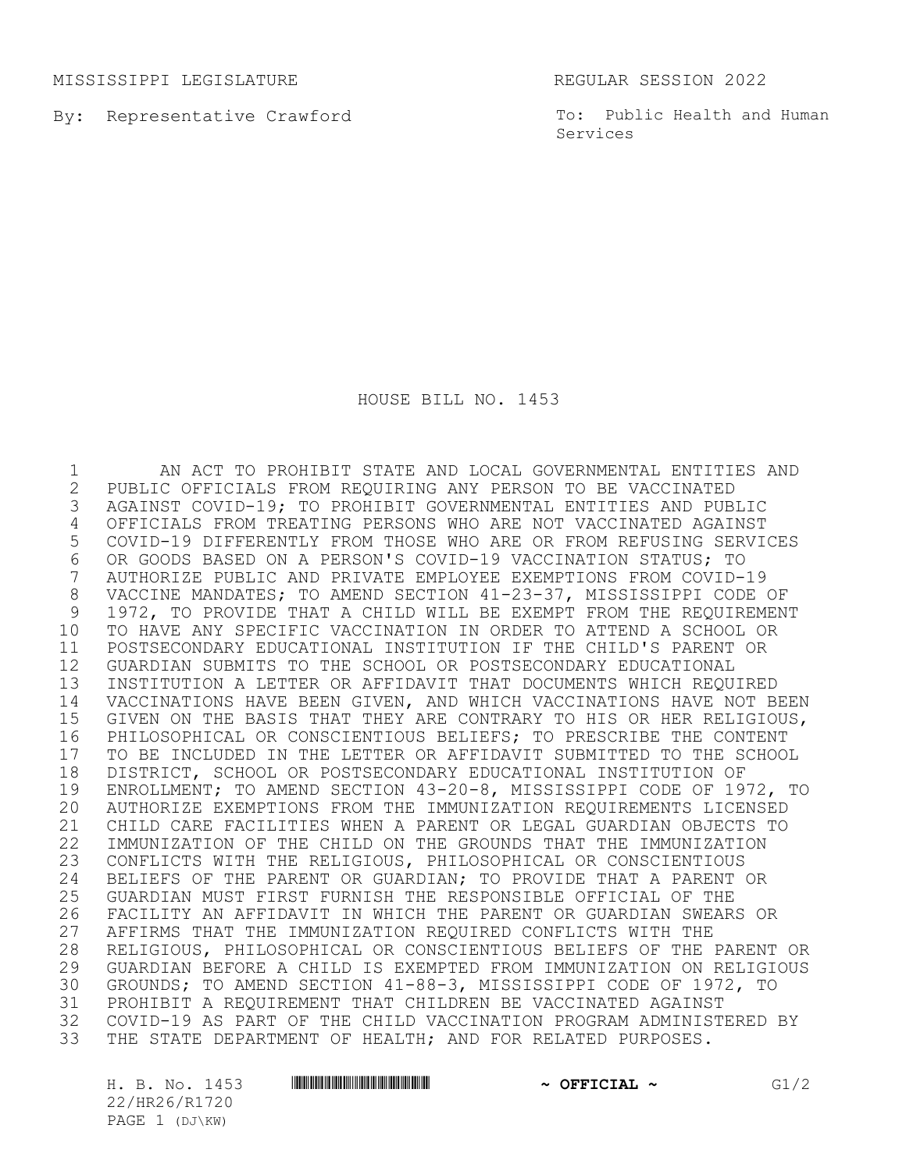MISSISSIPPI LEGISLATURE REGULAR SESSION 2022

By: Representative Crawford

To: Public Health and Human Services

HOUSE BILL NO. 1453

1 AN ACT TO PROHIBIT STATE AND LOCAL GOVERNMENTAL ENTITIES AND<br>2 PUBLIC OFFICIALS FROM REQUIRING ANY PERSON TO BE VACCINATED 2 PUBLIC OFFICIALS FROM REQUIRING ANY PERSON TO BE VACCINATED<br>3 AGAINST COVID-19; TO PROHIBIT GOVERNMENTAL ENTITIES AND PUBI AGAINST COVID-19; TO PROHIBIT GOVERNMENTAL ENTITIES AND PUBLIC OFFICIALS FROM TREATING PERSONS WHO ARE NOT VACCINATED AGAINST COVID-19 DIFFERENTLY FROM THOSE WHO ARE OR FROM REFUSING SERVICES OR GOODS BASED ON A PERSON'S COVID-19 VACCINATION STATUS; TO AUTHORIZE PUBLIC AND PRIVATE EMPLOYEE EXEMPTIONS FROM COVID-19 VACCINE MANDATES; TO AMEND SECTION 41-23-37, MISSISSIPPI CODE OF 1972, TO PROVIDE THAT A CHILD WILL BE EXEMPT FROM THE REQUIREMENT TO HAVE ANY SPECIFIC VACCINATION IN ORDER TO ATTEND A SCHOOL OR POSTSECONDARY EDUCATIONAL INSTITUTION IF THE CHILD'S PARENT OR GUARDIAN SUBMITS TO THE SCHOOL OR POSTSECONDARY EDUCATIONAL INSTITUTION A LETTER OR AFFIDAVIT THAT DOCUMENTS WHICH REQUIRED VACCINATIONS HAVE BEEN GIVEN, AND WHICH VACCINATIONS HAVE NOT BEEN GIVEN ON THE BASIS THAT THEY ARE CONTRARY TO HIS OR HER RELIGIOUS, PHILOSOPHICAL OR CONSCIENTIOUS BELIEFS; TO PRESCRIBE THE CONTENT 17 TO BE INCLUDED IN THE LETTER OR AFFIDAVIT SUBMITTED TO THE SCHOOL<br>18 DISTRICT, SCHOOL OR POSTSECONDARY EDUCATIONAL INSTITUTION OF 18 DISTRICT, SCHOOL OR POSTSECONDARY EDUCATIONAL INSTITUTION OF<br>19 ENROLLMENT: TO AMEND SECTION 43-20-8, MISSISSIPPI CODE OF 19 19 ENROLLMENT; TO AMEND SECTION 43-20-8, MISSISSIPPI CODE OF 1972, TO<br>20 AUTHORIZE EXEMPTIONS FROM THE IMMUNIZATION REOUIREMENTS LICENSED AUTHORIZE EXEMPTIONS FROM THE IMMUNIZATION REQUIREMENTS LICENSED CHILD CARE FACILITIES WHEN A PARENT OR LEGAL GUARDIAN OBJECTS TO IMMUNIZATION OF THE CHILD ON THE GROUNDS THAT THE IMMUNIZATION CONFLICTS WITH THE RELIGIOUS, PHILOSOPHICAL OR CONSCIENTIOUS 24 BELIEFS OF THE PARENT OR GUARDIAN; TO PROVIDE THAT A PARENT OR<br>25 GUARDIAN MUST FIRST FURNISH THE RESPONSIBLE OFFICIAL OF THE 25 GUARDIAN MUST FIRST FURNISH THE RESPONSIBLE OFFICIAL OF THE<br>26 FACILITY AN AFFIDAVIT IN WHICH THE PARENT OR GUARDIAN SWEAR: 26 FACILITY AN AFFIDAVIT IN WHICH THE PARENT OR GUARDIAN SWEARS OR<br>27 AFFIRMS THAT THE IMMUNIZATION REOUIRED CONFLICTS WITH THE AFFIRMS THAT THE IMMUNIZATION REQUIRED CONFLICTS WITH THE RELIGIOUS, PHILOSOPHICAL OR CONSCIENTIOUS BELIEFS OF THE PARENT OR 29 GUARDIAN BEFORE A CHILD IS EXEMPTED FROM IMMUNIZATION ON RELIGIOUS<br>30 GROUNDS; TO AMEND SECTION 41-88-3, MISSISSIPPI CODE OF 1972, TO GROUNDS; TO AMEND SECTION 41-88-3, MISSISSIPPI CODE OF 1972, TO PROHIBIT A REQUIREMENT THAT CHILDREN BE VACCINATED AGAINST COVID-19 AS PART OF THE CHILD VACCINATION PROGRAM ADMINISTERED BY THE STATE DEPARTMENT OF HEALTH; AND FOR RELATED PURPOSES.

22/HR26/R1720 PAGE 1 (DJ\KW)

H. B. No. 1453 **HRANG HRZAÓ HACHAL ~ OFFICIAL ~** G1/2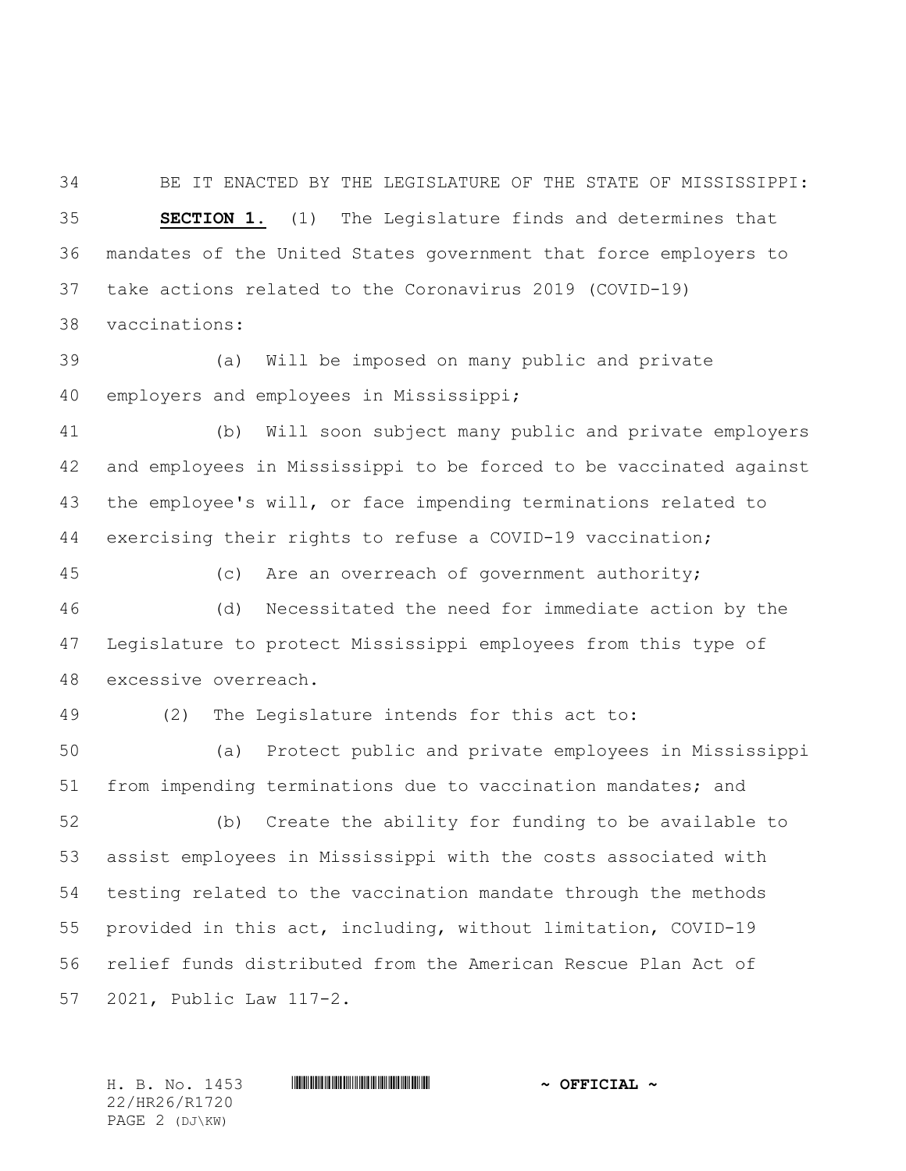BE IT ENACTED BY THE LEGISLATURE OF THE STATE OF MISSISSIPPI: **SECTION 1.** (1) The Legislature finds and determines that mandates of the United States government that force employers to take actions related to the Coronavirus 2019 (COVID-19)

vaccinations:

 (a) Will be imposed on many public and private employers and employees in Mississippi;

 (b) Will soon subject many public and private employers and employees in Mississippi to be forced to be vaccinated against the employee's will, or face impending terminations related to exercising their rights to refuse a COVID-19 vaccination;

 (c) Are an overreach of government authority; (d) Necessitated the need for immediate action by the Legislature to protect Mississippi employees from this type of excessive overreach.

49 (2) The Legislature intends for this act to:

50 (a) Protect public and private employees in Mississippi from impending terminations due to vaccination mandates; and

52 (b) Create the ability for funding to be available to assist employees in Mississippi with the costs associated with testing related to the vaccination mandate through the methods provided in this act, including, without limitation, COVID-19 relief funds distributed from the American Rescue Plan Act of 2021, Public Law 117-2.

22/HR26/R1720 PAGE 2 (DJ\KW)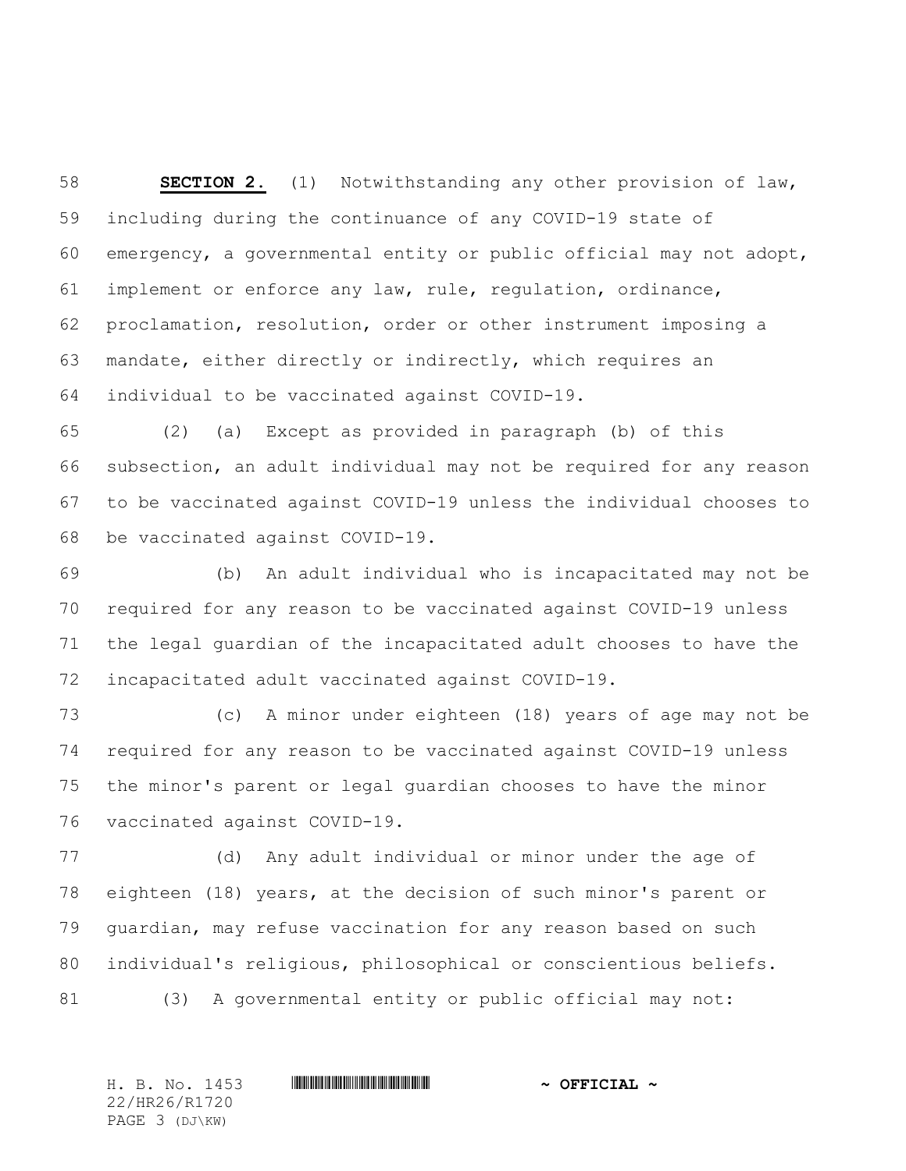**SECTION 2.** (1) Notwithstanding any other provision of law, including during the continuance of any COVID-19 state of emergency, a governmental entity or public official may not adopt, implement or enforce any law, rule, regulation, ordinance, proclamation, resolution, order or other instrument imposing a mandate, either directly or indirectly, which requires an individual to be vaccinated against COVID-19.

 (2) (a) Except as provided in paragraph (b) of this subsection, an adult individual may not be required for any reason to be vaccinated against COVID-19 unless the individual chooses to be vaccinated against COVID-19.

 (b) An adult individual who is incapacitated may not be required for any reason to be vaccinated against COVID-19 unless the legal guardian of the incapacitated adult chooses to have the incapacitated adult vaccinated against COVID-19.

 (c) A minor under eighteen (18) years of age may not be required for any reason to be vaccinated against COVID-19 unless the minor's parent or legal guardian chooses to have the minor vaccinated against COVID-19.

 (d) Any adult individual or minor under the age of eighteen (18) years, at the decision of such minor's parent or guardian, may refuse vaccination for any reason based on such individual's religious, philosophical or conscientious beliefs. (3) A governmental entity or public official may not:

22/HR26/R1720 PAGE 3 (DJ\KW)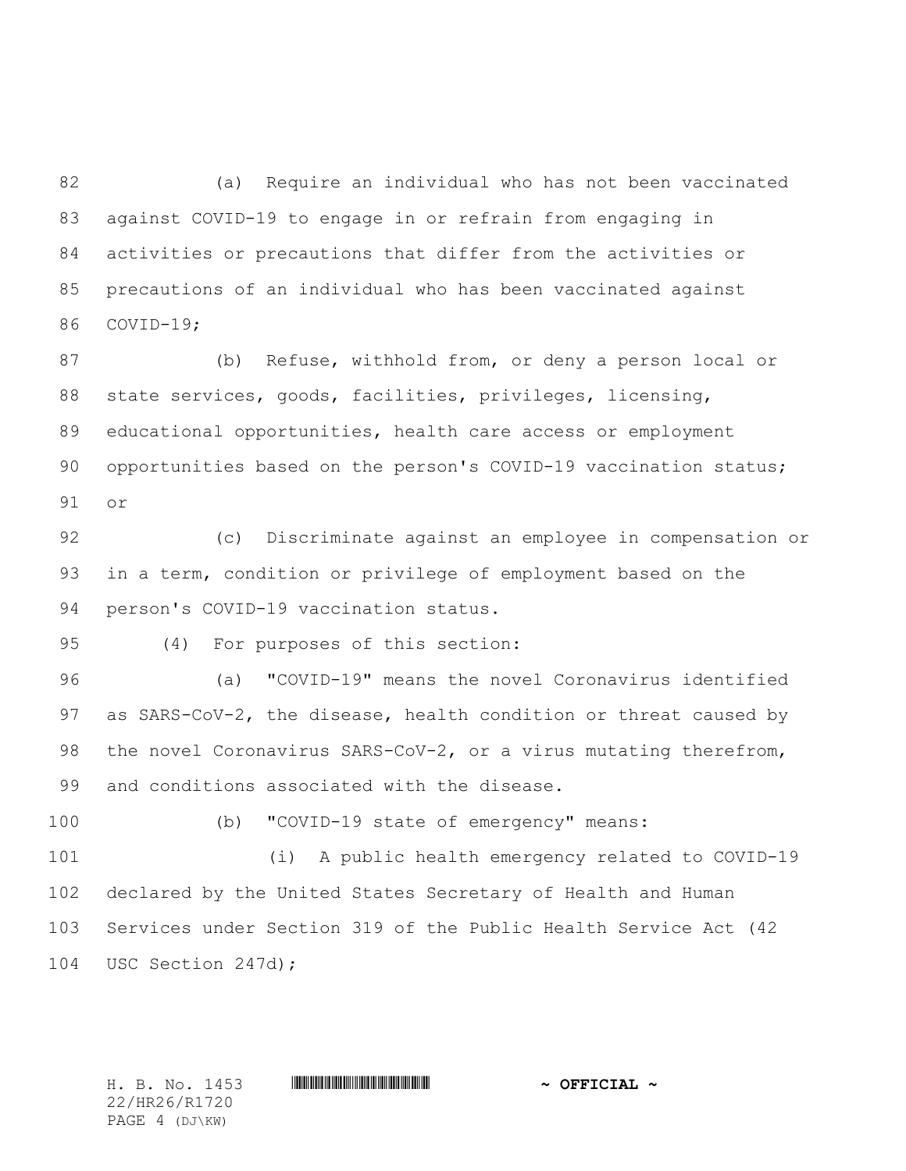(a) Require an individual who has not been vaccinated against COVID-19 to engage in or refrain from engaging in activities or precautions that differ from the activities or precautions of an individual who has been vaccinated against COVID-19;

 (b) Refuse, withhold from, or deny a person local or state services, goods, facilities, privileges, licensing, educational opportunities, health care access or employment 90 opportunities based on the person's COVID-19 vaccination status; or

 (c) Discriminate against an employee in compensation or in a term, condition or privilege of employment based on the person's COVID-19 vaccination status.

(4) For purposes of this section:

 (a) "COVID-19" means the novel Coronavirus identified 97 as SARS-CoV-2, the disease, health condition or threat caused by the novel Coronavirus SARS-CoV-2, or a virus mutating therefrom, and conditions associated with the disease.

(b) "COVID-19 state of emergency" means:

 (i) A public health emergency related to COVID-19 declared by the United States Secretary of Health and Human Services under Section 319 of the Public Health Service Act (42 USC Section 247d);

22/HR26/R1720 PAGE 4 (DJ\KW)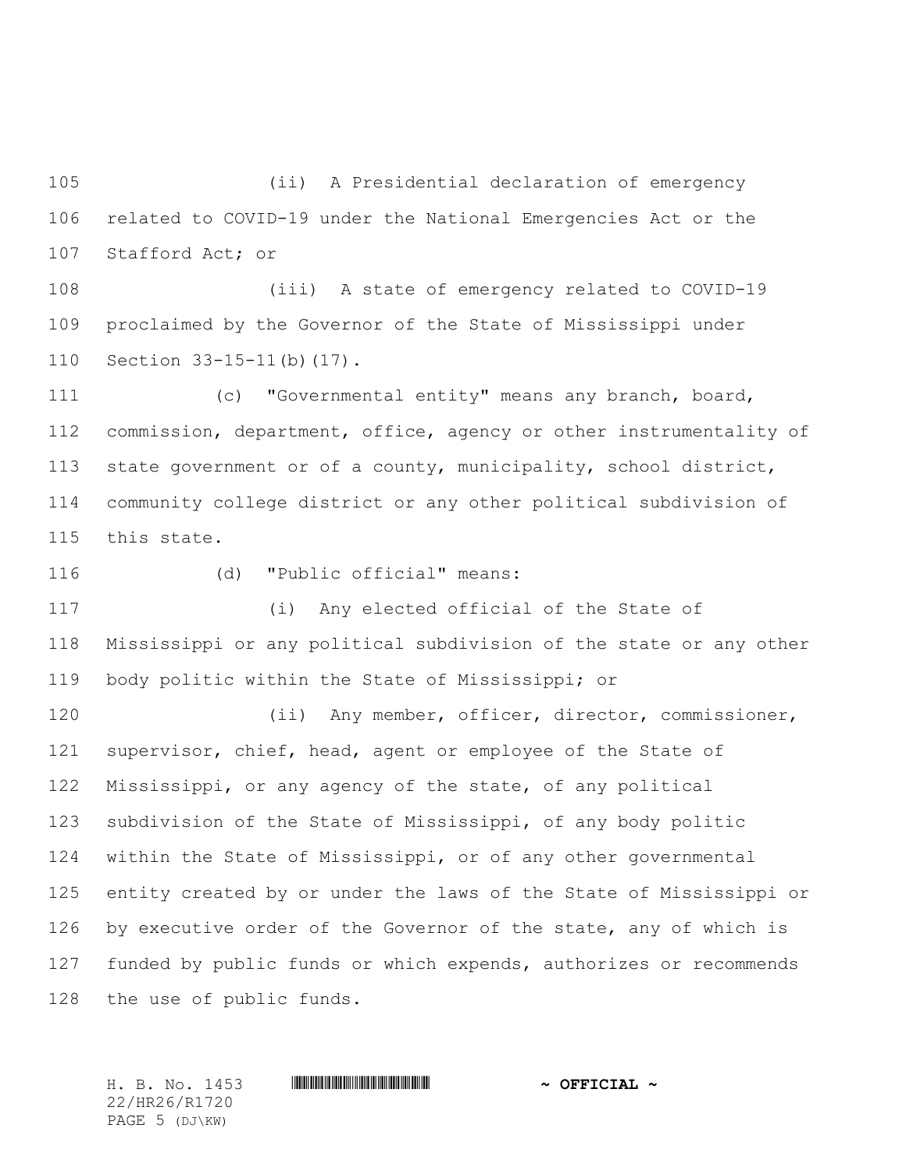(ii) A Presidential declaration of emergency related to COVID-19 under the National Emergencies Act or the Stafford Act; or

 (iii) A state of emergency related to COVID-19 proclaimed by the Governor of the State of Mississippi under Section 33-15-11(b)(17).

 (c) "Governmental entity" means any branch, board, commission, department, office, agency or other instrumentality of state government or of a county, municipality, school district, community college district or any other political subdivision of this state.

(d) "Public official" means:

 (i) Any elected official of the State of Mississippi or any political subdivision of the state or any other body politic within the State of Mississippi; or

 (ii) Any member, officer, director, commissioner, supervisor, chief, head, agent or employee of the State of Mississippi, or any agency of the state, of any political subdivision of the State of Mississippi, of any body politic within the State of Mississippi, or of any other governmental entity created by or under the laws of the State of Mississippi or 126 by executive order of the Governor of the state, any of which is funded by public funds or which expends, authorizes or recommends the use of public funds.

22/HR26/R1720 PAGE 5 (DJ\KW)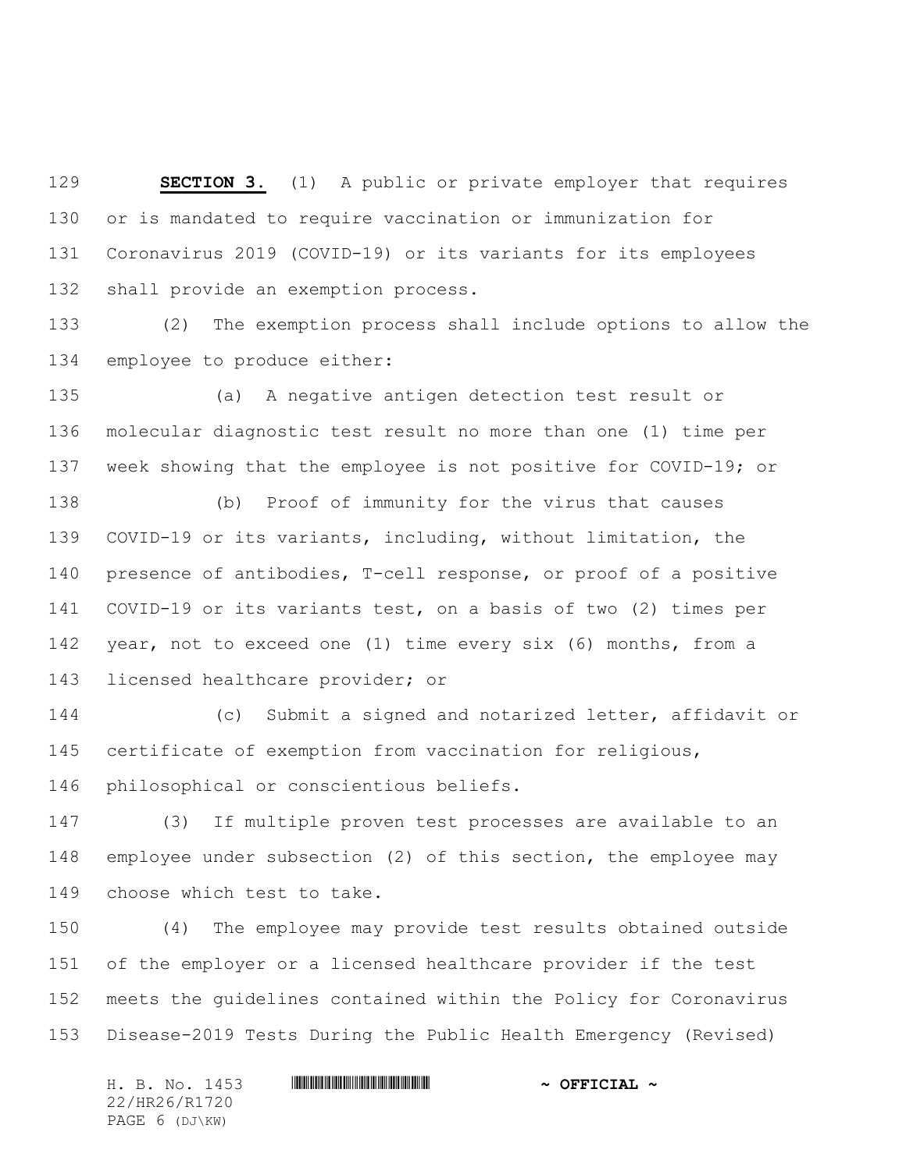**SECTION 3.** (1) A public or private employer that requires or is mandated to require vaccination or immunization for Coronavirus 2019 (COVID-19) or its variants for its employees shall provide an exemption process.

 (2) The exemption process shall include options to allow the employee to produce either:

 (a) A negative antigen detection test result or molecular diagnostic test result no more than one (1) time per week showing that the employee is not positive for COVID-19; or

 (b) Proof of immunity for the virus that causes COVID-19 or its variants, including, without limitation, the presence of antibodies, T-cell response, or proof of a positive COVID-19 or its variants test, on a basis of two (2) times per year, not to exceed one (1) time every six (6) months, from a licensed healthcare provider; or

 (c) Submit a signed and notarized letter, affidavit or certificate of exemption from vaccination for religious, philosophical or conscientious beliefs.

 (3) If multiple proven test processes are available to an employee under subsection (2) of this section, the employee may choose which test to take.

 (4) The employee may provide test results obtained outside of the employer or a licensed healthcare provider if the test meets the guidelines contained within the Policy for Coronavirus Disease-2019 Tests During the Public Health Emergency (Revised)

H. B. No. 1453 \*HR26/R1720\* **~ OFFICIAL ~** 22/HR26/R1720 PAGE 6 (DJ\KW)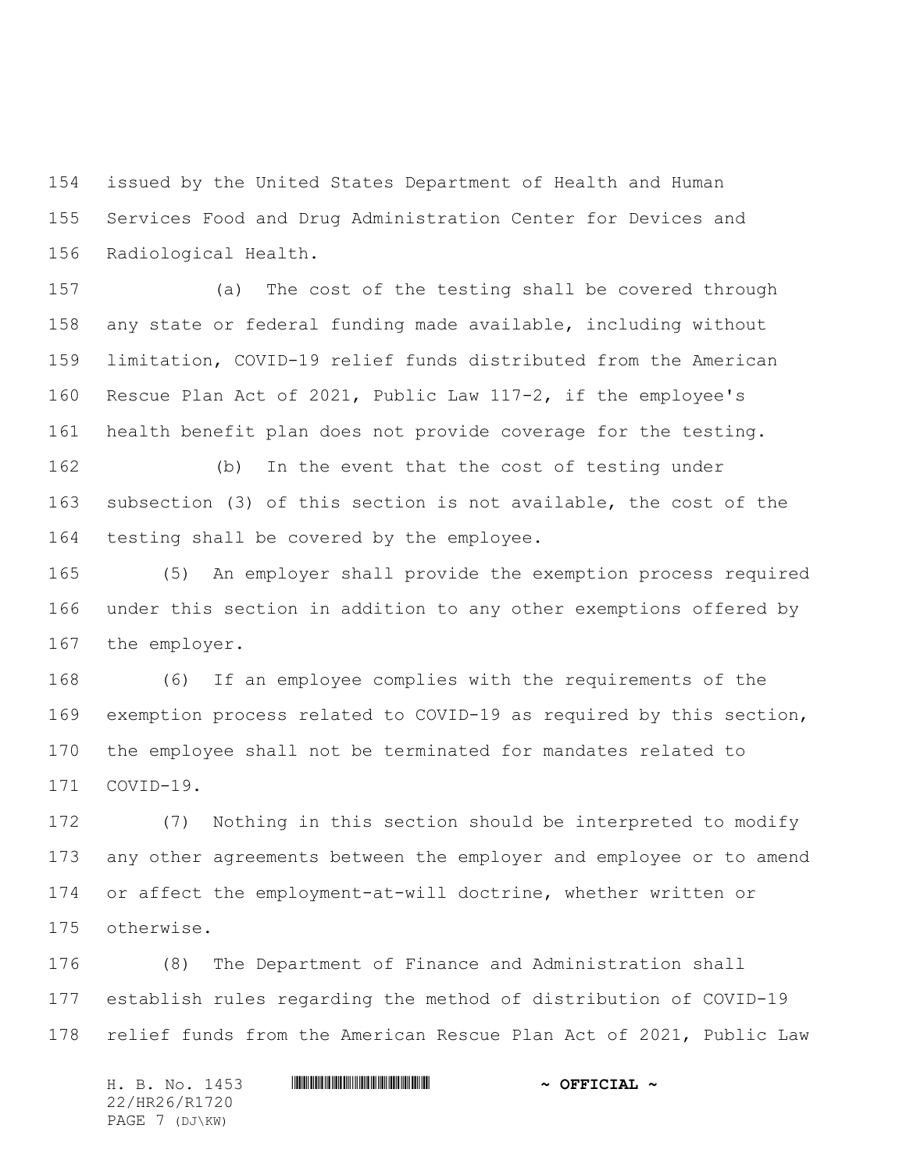issued by the United States Department of Health and Human Services Food and Drug Administration Center for Devices and Radiological Health.

 (a) The cost of the testing shall be covered through any state or federal funding made available, including without limitation, COVID-19 relief funds distributed from the American Rescue Plan Act of 2021, Public Law 117-2, if the employee's health benefit plan does not provide coverage for the testing.

 (b) In the event that the cost of testing under subsection (3) of this section is not available, the cost of the testing shall be covered by the employee.

 (5) An employer shall provide the exemption process required under this section in addition to any other exemptions offered by the employer.

 (6) If an employee complies with the requirements of the exemption process related to COVID-19 as required by this section, the employee shall not be terminated for mandates related to COVID-19.

 (7) Nothing in this section should be interpreted to modify any other agreements between the employer and employee or to amend or affect the employment-at-will doctrine, whether written or otherwise.

 (8) The Department of Finance and Administration shall establish rules regarding the method of distribution of COVID-19 relief funds from the American Rescue Plan Act of 2021, Public Law

H. B. No. 1453 \*HR26/R1720\* **~ OFFICIAL ~** 22/HR26/R1720 PAGE 7 (DJ\KW)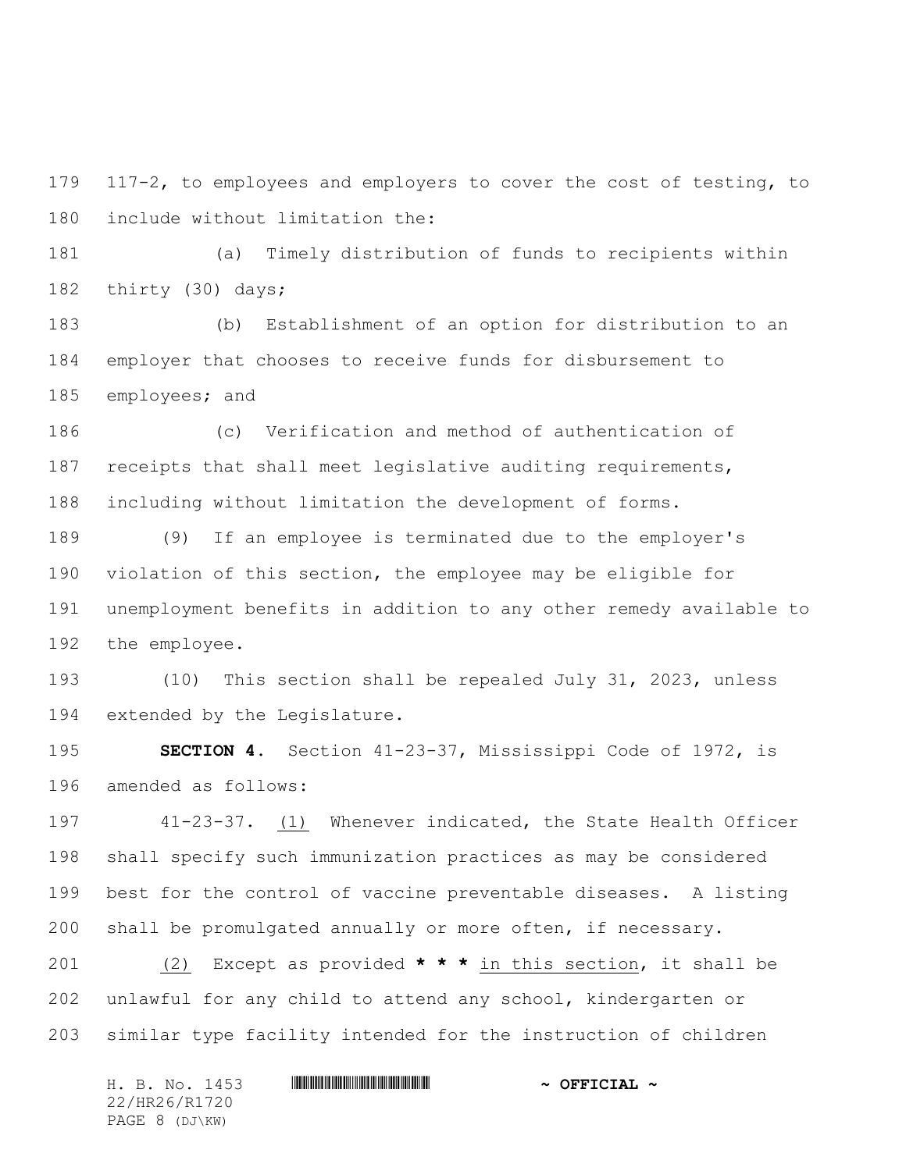117-2, to employees and employers to cover the cost of testing, to include without limitation the:

 (a) Timely distribution of funds to recipients within thirty (30) days;

 (b) Establishment of an option for distribution to an employer that chooses to receive funds for disbursement to employees; and

 (c) Verification and method of authentication of receipts that shall meet legislative auditing requirements, including without limitation the development of forms.

 (9) If an employee is terminated due to the employer's violation of this section, the employee may be eligible for unemployment benefits in addition to any other remedy available to the employee.

 (10) This section shall be repealed July 31, 2023, unless extended by the Legislature.

 **SECTION 4.** Section 41-23-37, Mississippi Code of 1972, is amended as follows:

 41-23-37. (1) Whenever indicated, the State Health Officer shall specify such immunization practices as may be considered best for the control of vaccine preventable diseases. A listing shall be promulgated annually or more often, if necessary.

 (2) Except as provided **\* \* \*** in this section, it shall be unlawful for any child to attend any school, kindergarten or similar type facility intended for the instruction of children

| H. B. No. 1453 | $\sim$ OFFICIAL $\sim$ |
|----------------|------------------------|
| 22/HR26/R1720  |                        |
| PAGE 8 (DJ\KW) |                        |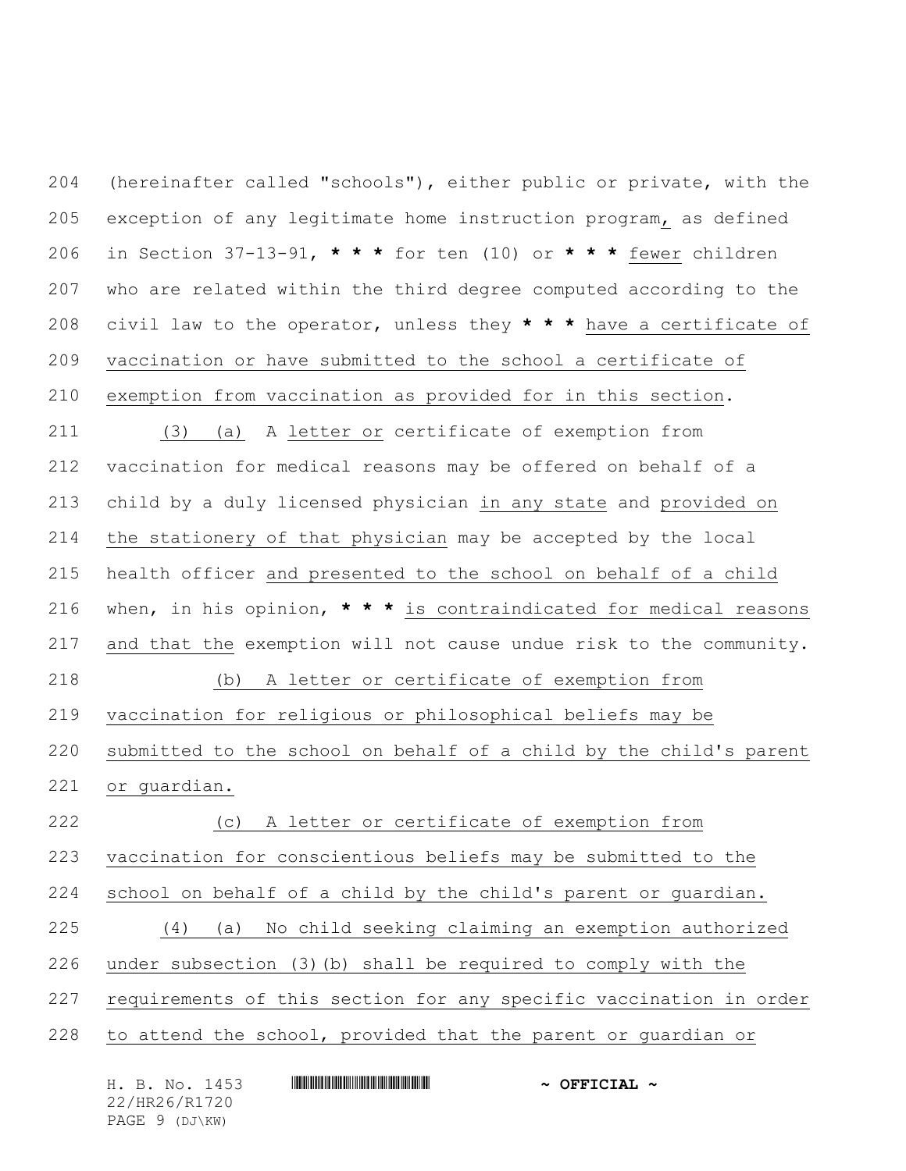(hereinafter called "schools"), either public or private, with the exception of any legitimate home instruction program, as defined in Section 37-13-91, **\* \* \*** for ten (10) or **\* \* \*** fewer children who are related within the third degree computed according to the civil law to the operator, unless they **\* \* \*** have a certificate of vaccination or have submitted to the school a certificate of exemption from vaccination as provided for in this section. (3) (a) A letter or certificate of exemption from vaccination for medical reasons may be offered on behalf of a child by a duly licensed physician in any state and provided on the stationery of that physician may be accepted by the local health officer and presented to the school on behalf of a child when, in his opinion, **\* \* \*** is contraindicated for medical reasons and that the exemption will not cause undue risk to the community. (b) A letter or certificate of exemption from vaccination for religious or philosophical beliefs may be submitted to the school on behalf of a child by the child's parent or guardian. (c) A letter or certificate of exemption from vaccination for conscientious beliefs may be submitted to the school on behalf of a child by the child's parent or guardian. (4) (a) No child seeking claiming an exemption authorized under subsection (3)(b) shall be required to comply with the requirements of this section for any specific vaccination in order to attend the school, provided that the parent or guardian or

|                |  | H. B. No. 1453 |  | $\sim$ OFFICIAL $\sim$ |
|----------------|--|----------------|--|------------------------|
| 22/HR26/R1720  |  |                |  |                        |
| PAGE 9 (DJ\KW) |  |                |  |                        |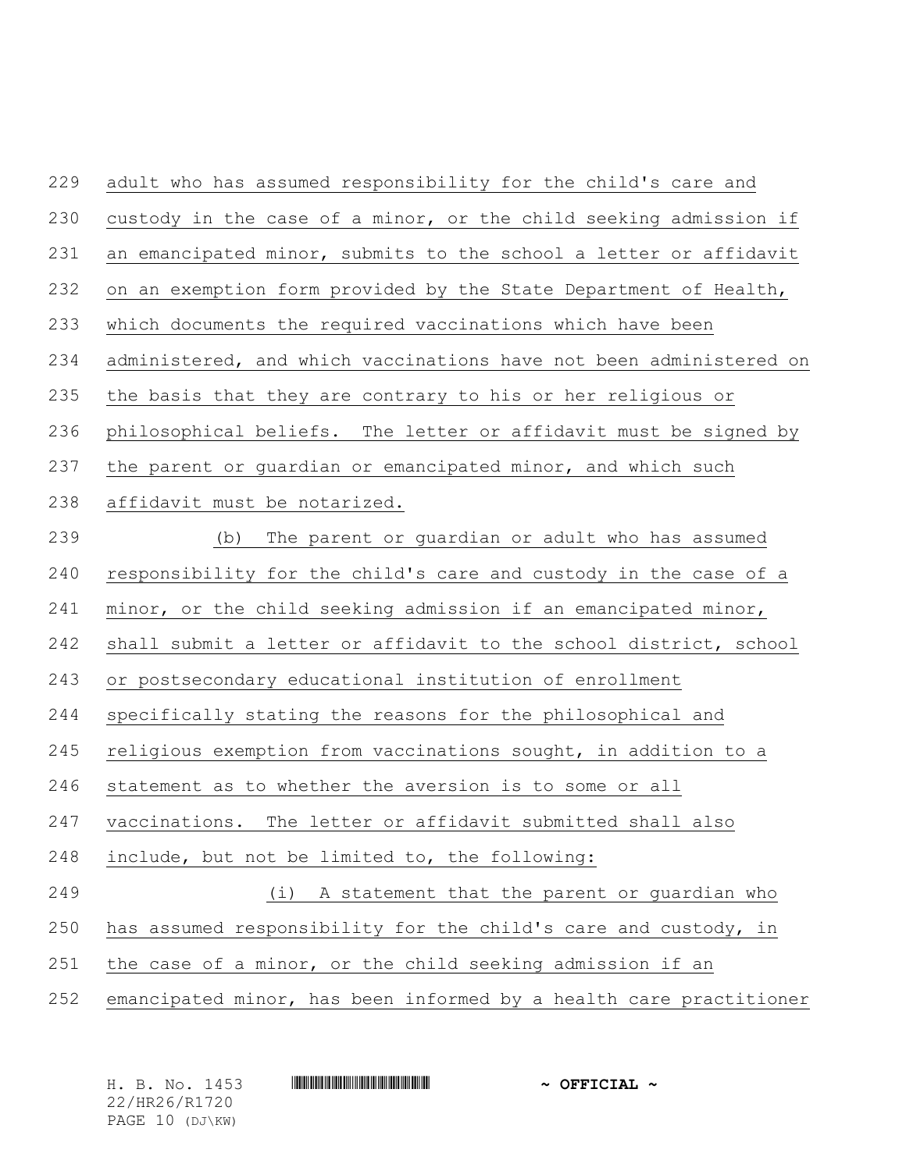| 229 | adult who has assumed responsibility for the child's care and      |
|-----|--------------------------------------------------------------------|
| 230 | custody in the case of a minor, or the child seeking admission if  |
| 231 | an emancipated minor, submits to the school a letter or affidavit  |
| 232 | on an exemption form provided by the State Department of Health,   |
| 233 | which documents the required vaccinations which have been          |
| 234 | administered, and which vaccinations have not been administered on |
| 235 | the basis that they are contrary to his or her religious or        |
| 236 | philosophical beliefs. The letter or affidavit must be signed by   |
| 237 | the parent or guardian or emancipated minor, and which such        |
| 238 | affidavit must be notarized.                                       |
| 239 | The parent or guardian or adult who has assumed<br>(b)             |
| 240 | responsibility for the child's care and custody in the case of a   |
| 241 | minor, or the child seeking admission if an emancipated minor,     |
| 242 | shall submit a letter or affidavit to the school district, school  |
| 243 | or postsecondary educational institution of enrollment             |
| 244 | specifically stating the reasons for the philosophical and         |
| 245 | religious exemption from vaccinations sought, in addition to a     |
| 246 | statement as to whether the aversion is to some or all             |
| 247 | vaccinations. The letter or affidavit submitted shall also         |
| 248 | include, but not be limited to, the following:                     |
| 249 | (i) A statement that the parent or guardian who                    |
| 250 | has assumed responsibility for the child's care and custody, in    |
| 251 | the case of a minor, or the child seeking admission if an          |
| 252 | emancipated minor, has been informed by a health care practitioner |

| H. B. No. 1453  | $\sim$ OFFICIAL $\sim$ |
|-----------------|------------------------|
| 22/HR26/R1720   |                        |
| PAGE 10 (DJ\KW) |                        |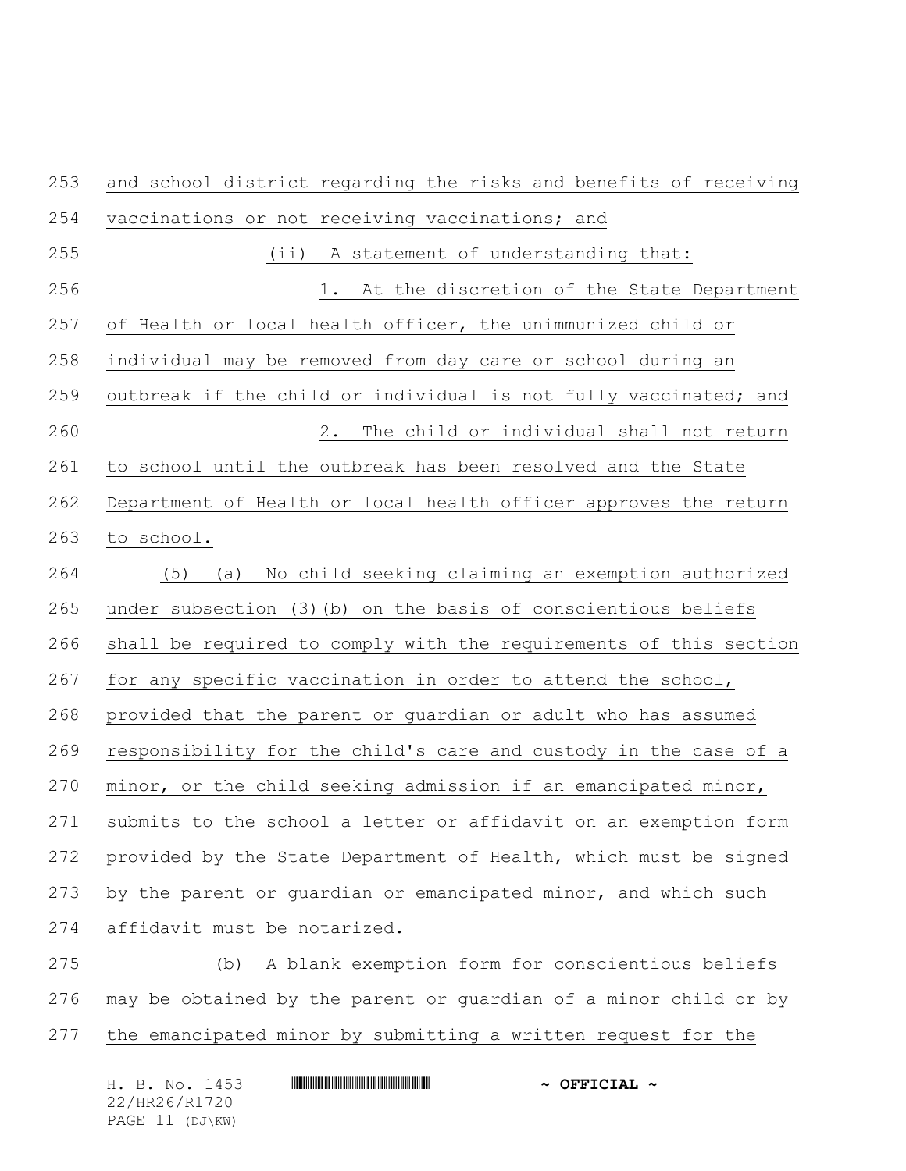and school district regarding the risks and benefits of receiving vaccinations or not receiving vaccinations; and (ii) A statement of understanding that: 1. At the discretion of the State Department of Health or local health officer, the unimmunized child or individual may be removed from day care or school during an outbreak if the child or individual is not fully vaccinated; and 2. The child or individual shall not return to school until the outbreak has been resolved and the State Department of Health or local health officer approves the return to school. (5) (a) No child seeking claiming an exemption authorized under subsection (3)(b) on the basis of conscientious beliefs shall be required to comply with the requirements of this section 267 for any specific vaccination in order to attend the school, provided that the parent or guardian or adult who has assumed responsibility for the child's care and custody in the case of a minor, or the child seeking admission if an emancipated minor, submits to the school a letter or affidavit on an exemption form provided by the State Department of Health, which must be signed by the parent or guardian or emancipated minor, and which such affidavit must be notarized. (b) A blank exemption form for conscientious beliefs may be obtained by the parent or guardian of a minor child or by the emancipated minor by submitting a written request for the

| H. B. No. 1453  | $\sim$ OFFICIAL $\sim$ |
|-----------------|------------------------|
| 22/HR26/R1720   |                        |
| PAGE 11 (DJ\KW) |                        |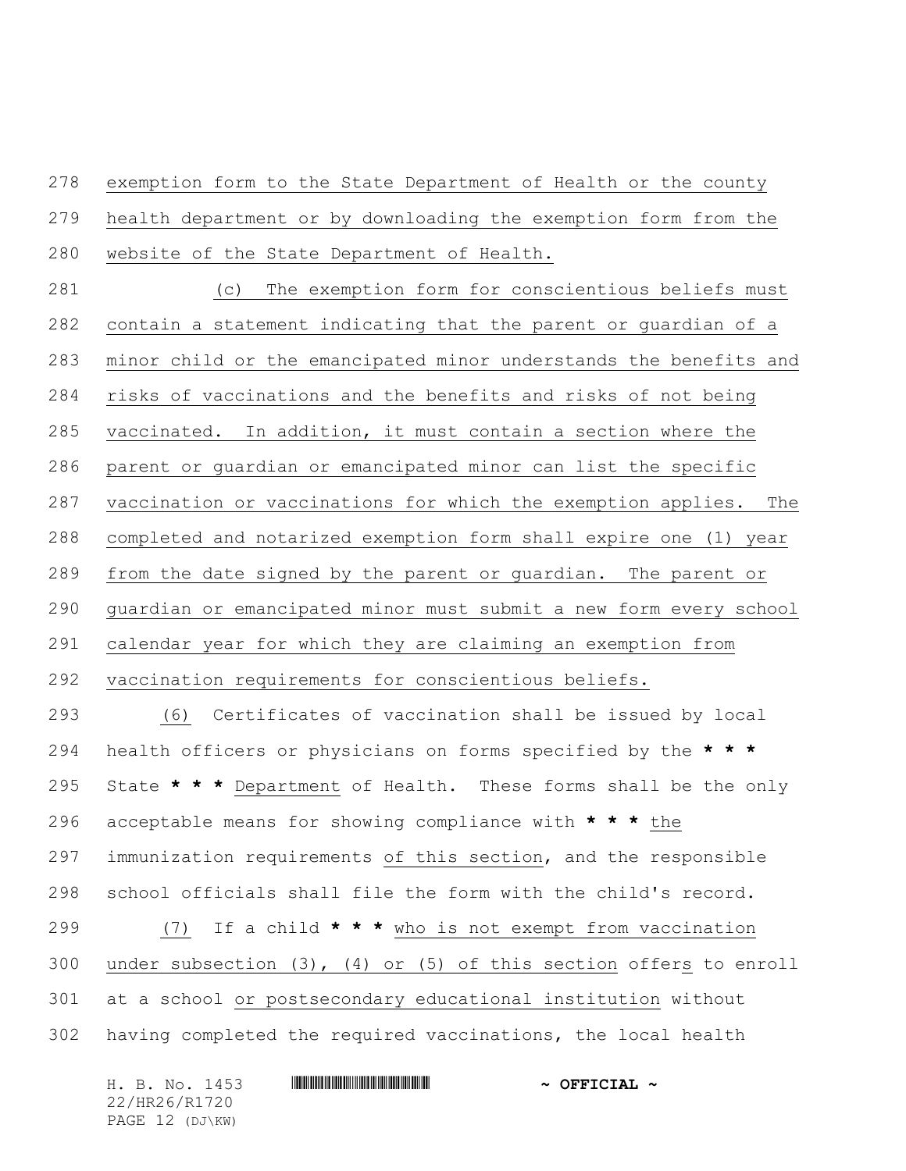exemption form to the State Department of Health or the county

health department or by downloading the exemption form from the

website of the State Department of Health.

 (c) The exemption form for conscientious beliefs must contain a statement indicating that the parent or guardian of a minor child or the emancipated minor understands the benefits and risks of vaccinations and the benefits and risks of not being vaccinated. In addition, it must contain a section where the parent or guardian or emancipated minor can list the specific vaccination or vaccinations for which the exemption applies. The completed and notarized exemption form shall expire one (1) year from the date signed by the parent or guardian. The parent or guardian or emancipated minor must submit a new form every school calendar year for which they are claiming an exemption from vaccination requirements for conscientious beliefs. (6) Certificates of vaccination shall be issued by local

 health officers or physicians on forms specified by the **\* \* \*** State **\* \* \*** Department of Health. These forms shall be the only acceptable means for showing compliance with **\* \* \*** the immunization requirements of this section, and the responsible school officials shall file the form with the child's record. (7) If a child **\* \* \*** who is not exempt from vaccination under subsection (3), (4) or (5) of this section offers to enroll at a school or postsecondary educational institution without having completed the required vaccinations, the local health

| H. B. No. 1453  | $\sim$ OFFICIAL $\sim$ |
|-----------------|------------------------|
| 22/HR26/R1720   |                        |
| PAGE 12 (DJ\KW) |                        |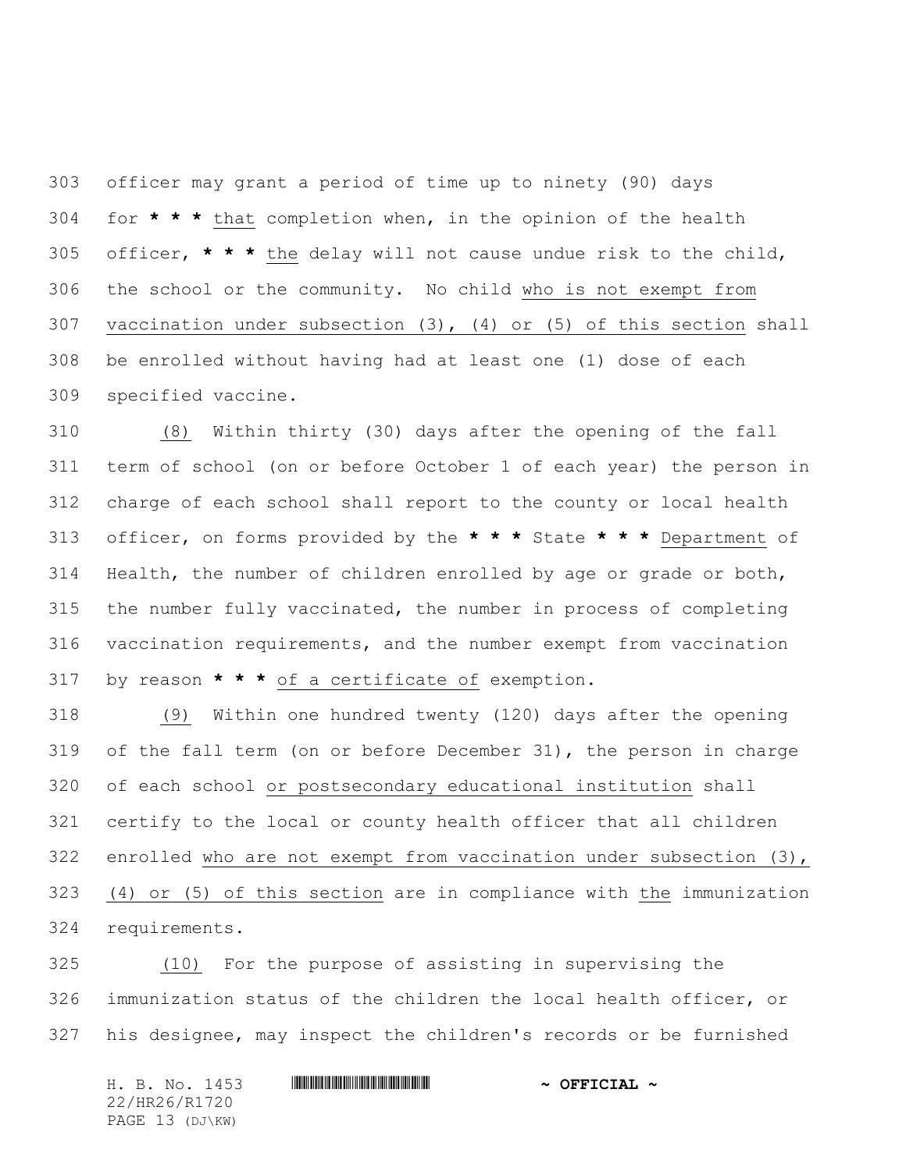officer may grant a period of time up to ninety (90) days for **\* \* \*** that completion when, in the opinion of the health officer, **\* \* \*** the delay will not cause undue risk to the child, the school or the community. No child who is not exempt from vaccination under subsection (3), (4) or (5) of this section shall be enrolled without having had at least one (1) dose of each specified vaccine.

 (8) Within thirty (30) days after the opening of the fall term of school (on or before October 1 of each year) the person in charge of each school shall report to the county or local health officer, on forms provided by the **\* \* \*** State **\* \* \*** Department of Health, the number of children enrolled by age or grade or both, the number fully vaccinated, the number in process of completing vaccination requirements, and the number exempt from vaccination by reason **\* \* \*** of a certificate of exemption.

 (9) Within one hundred twenty (120) days after the opening of the fall term (on or before December 31), the person in charge of each school or postsecondary educational institution shall certify to the local or county health officer that all children enrolled who are not exempt from vaccination under subsection (3), (4) or (5) of this section are in compliance with the immunization requirements.

 (10) For the purpose of assisting in supervising the immunization status of the children the local health officer, or his designee, may inspect the children's records or be furnished

H. B. No. 1453 \*HR26/R1720\* **~ OFFICIAL ~** 22/HR26/R1720 PAGE 13 (DJ\KW)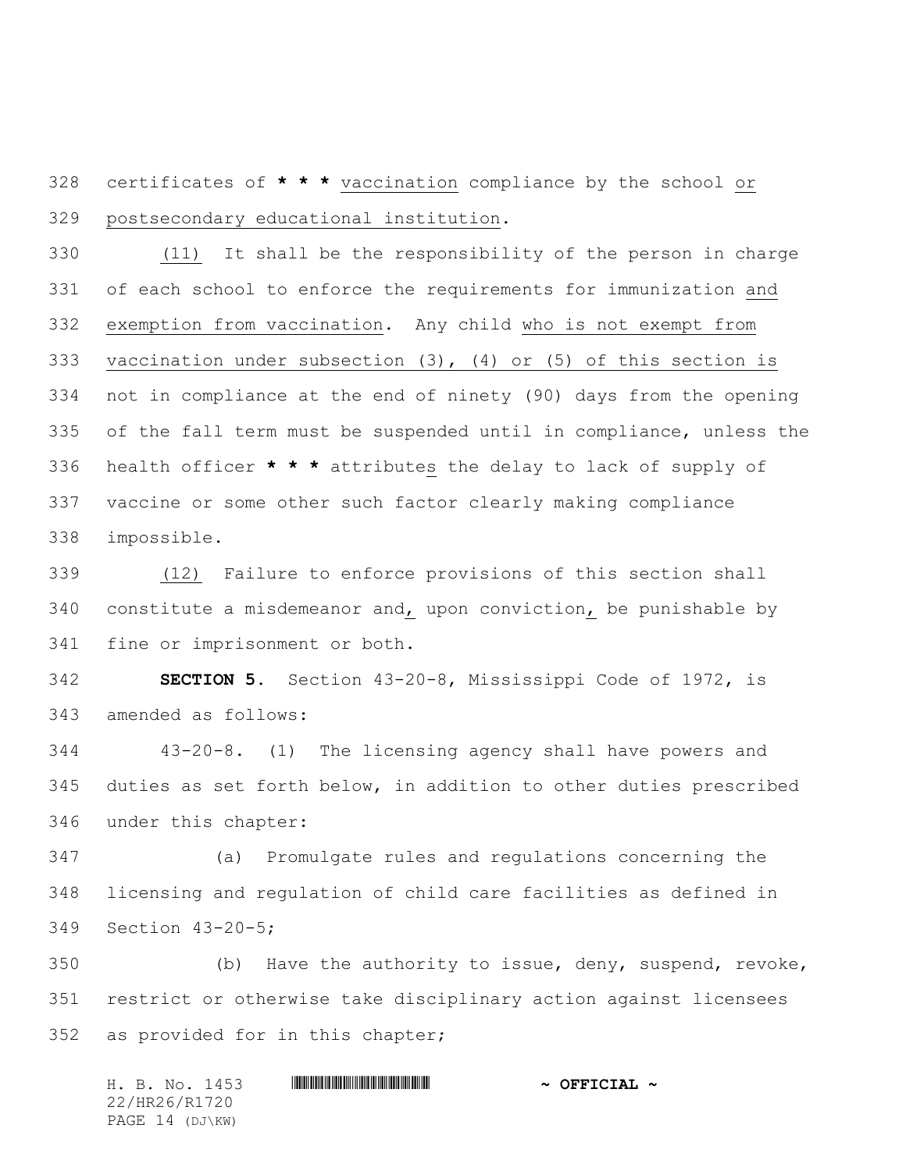certificates of **\* \* \*** vaccination compliance by the school or postsecondary educational institution.

 (11) It shall be the responsibility of the person in charge of each school to enforce the requirements for immunization and exemption from vaccination. Any child who is not exempt from vaccination under subsection (3), (4) or (5) of this section is not in compliance at the end of ninety (90) days from the opening of the fall term must be suspended until in compliance, unless the health officer **\* \* \*** attributes the delay to lack of supply of vaccine or some other such factor clearly making compliance impossible.

 (12) Failure to enforce provisions of this section shall 340 constitute a misdemeanor and, upon conviction, be punishable by fine or imprisonment or both.

 **SECTION 5.** Section 43-20-8, Mississippi Code of 1972, is amended as follows:

 43-20-8. (1) The licensing agency shall have powers and duties as set forth below, in addition to other duties prescribed under this chapter:

 (a) Promulgate rules and regulations concerning the licensing and regulation of child care facilities as defined in Section 43-20-5;

 (b) Have the authority to issue, deny, suspend, revoke, restrict or otherwise take disciplinary action against licensees as provided for in this chapter;

H. B. No. 1453 \*HR26/R1720\* **~ OFFICIAL ~** 22/HR26/R1720 PAGE 14 (DJ\KW)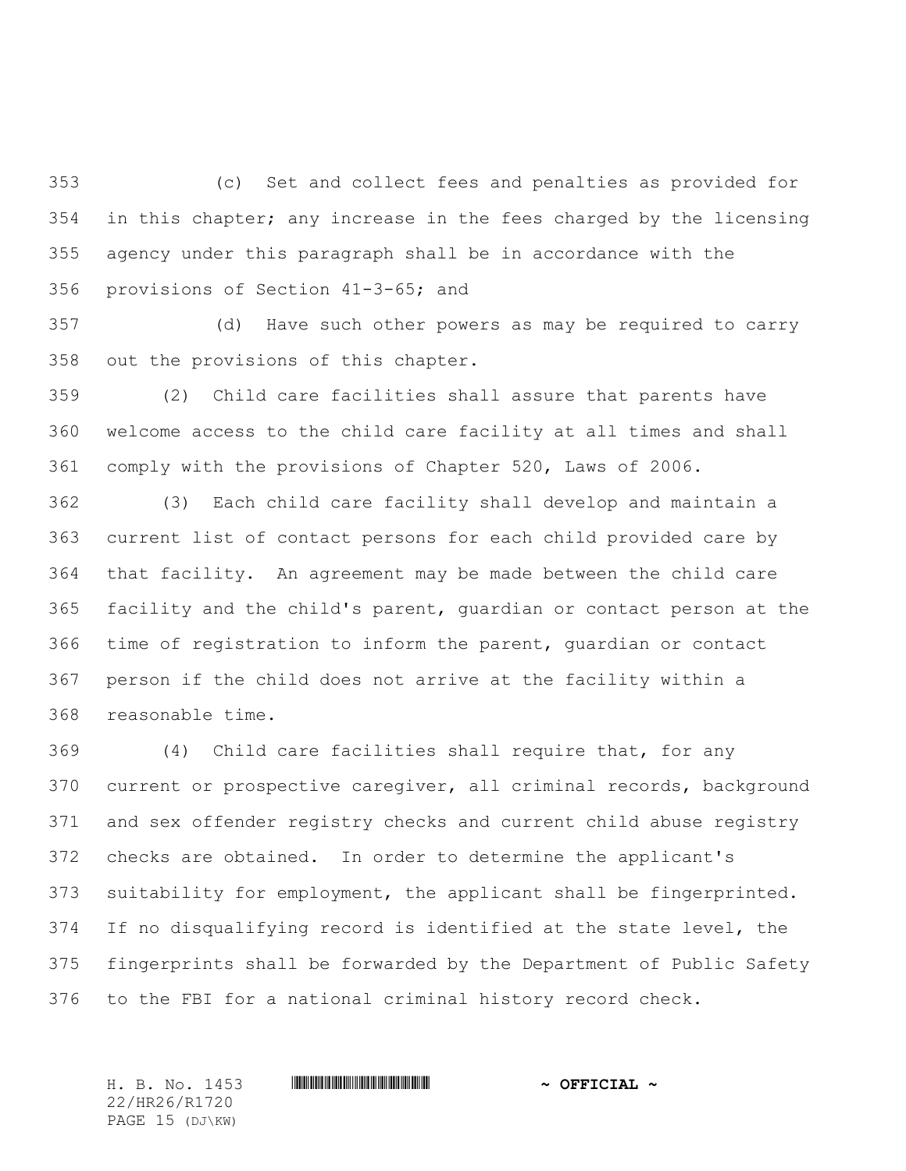(c) Set and collect fees and penalties as provided for in this chapter; any increase in the fees charged by the licensing agency under this paragraph shall be in accordance with the provisions of Section 41-3-65; and

 (d) Have such other powers as may be required to carry out the provisions of this chapter.

 (2) Child care facilities shall assure that parents have welcome access to the child care facility at all times and shall comply with the provisions of Chapter 520, Laws of 2006.

 (3) Each child care facility shall develop and maintain a current list of contact persons for each child provided care by that facility. An agreement may be made between the child care facility and the child's parent, guardian or contact person at the time of registration to inform the parent, guardian or contact person if the child does not arrive at the facility within a reasonable time.

 (4) Child care facilities shall require that, for any current or prospective caregiver, all criminal records, background and sex offender registry checks and current child abuse registry checks are obtained. In order to determine the applicant's suitability for employment, the applicant shall be fingerprinted. If no disqualifying record is identified at the state level, the fingerprints shall be forwarded by the Department of Public Safety to the FBI for a national criminal history record check.

22/HR26/R1720 PAGE 15 (DJ\KW)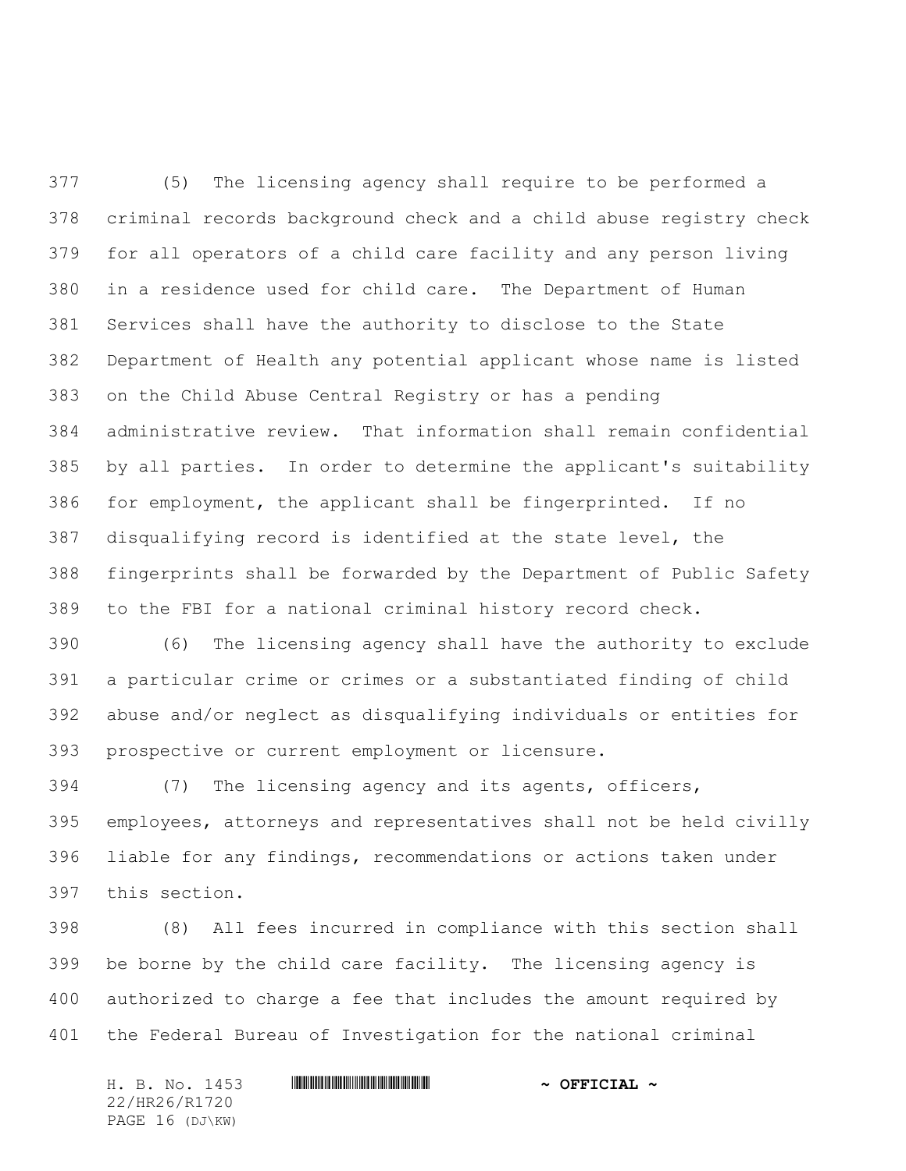(5) The licensing agency shall require to be performed a criminal records background check and a child abuse registry check for all operators of a child care facility and any person living in a residence used for child care. The Department of Human Services shall have the authority to disclose to the State Department of Health any potential applicant whose name is listed on the Child Abuse Central Registry or has a pending administrative review. That information shall remain confidential by all parties. In order to determine the applicant's suitability for employment, the applicant shall be fingerprinted. If no disqualifying record is identified at the state level, the fingerprints shall be forwarded by the Department of Public Safety to the FBI for a national criminal history record check.

 (6) The licensing agency shall have the authority to exclude a particular crime or crimes or a substantiated finding of child abuse and/or neglect as disqualifying individuals or entities for prospective or current employment or licensure.

 (7) The licensing agency and its agents, officers, employees, attorneys and representatives shall not be held civilly liable for any findings, recommendations or actions taken under this section.

 (8) All fees incurred in compliance with this section shall be borne by the child care facility. The licensing agency is authorized to charge a fee that includes the amount required by the Federal Bureau of Investigation for the national criminal

H. B. No. 1453 **. HREFICIAL ~ OFFICIAL ~** 22/HR26/R1720 PAGE 16 (DJ\KW)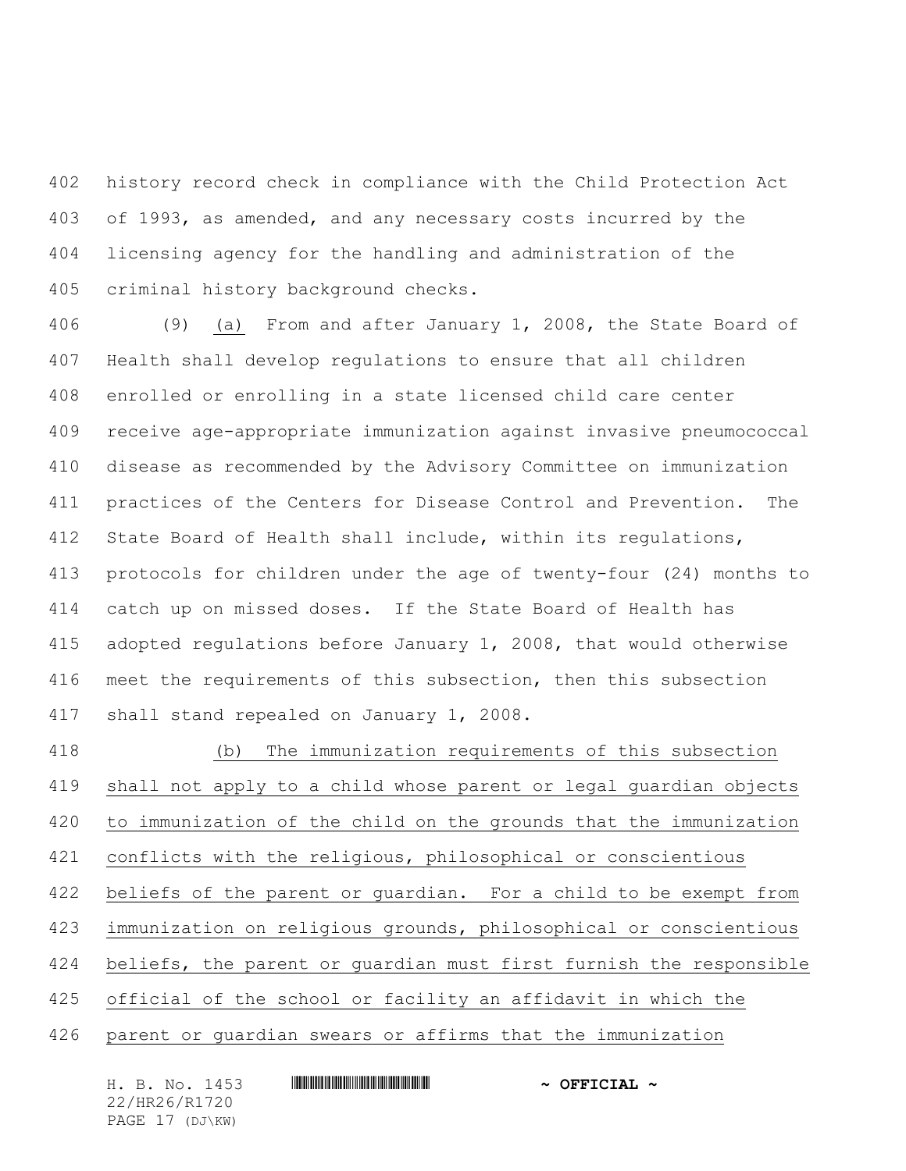history record check in compliance with the Child Protection Act of 1993, as amended, and any necessary costs incurred by the licensing agency for the handling and administration of the criminal history background checks.

 (9) (a) From and after January 1, 2008, the State Board of Health shall develop regulations to ensure that all children enrolled or enrolling in a state licensed child care center receive age-appropriate immunization against invasive pneumococcal disease as recommended by the Advisory Committee on immunization practices of the Centers for Disease Control and Prevention. The State Board of Health shall include, within its regulations, protocols for children under the age of twenty-four (24) months to catch up on missed doses. If the State Board of Health has adopted regulations before January 1, 2008, that would otherwise meet the requirements of this subsection, then this subsection shall stand repealed on January 1, 2008.

 (b) The immunization requirements of this subsection shall not apply to a child whose parent or legal guardian objects to immunization of the child on the grounds that the immunization conflicts with the religious, philosophical or conscientious beliefs of the parent or guardian. For a child to be exempt from immunization on religious grounds, philosophical or conscientious beliefs, the parent or guardian must first furnish the responsible official of the school or facility an affidavit in which the parent or guardian swears or affirms that the immunization

H. B. No. 1453 **. HREFICIAL ~ OFFICIAL ~** 22/HR26/R1720 PAGE 17 (DJ\KW)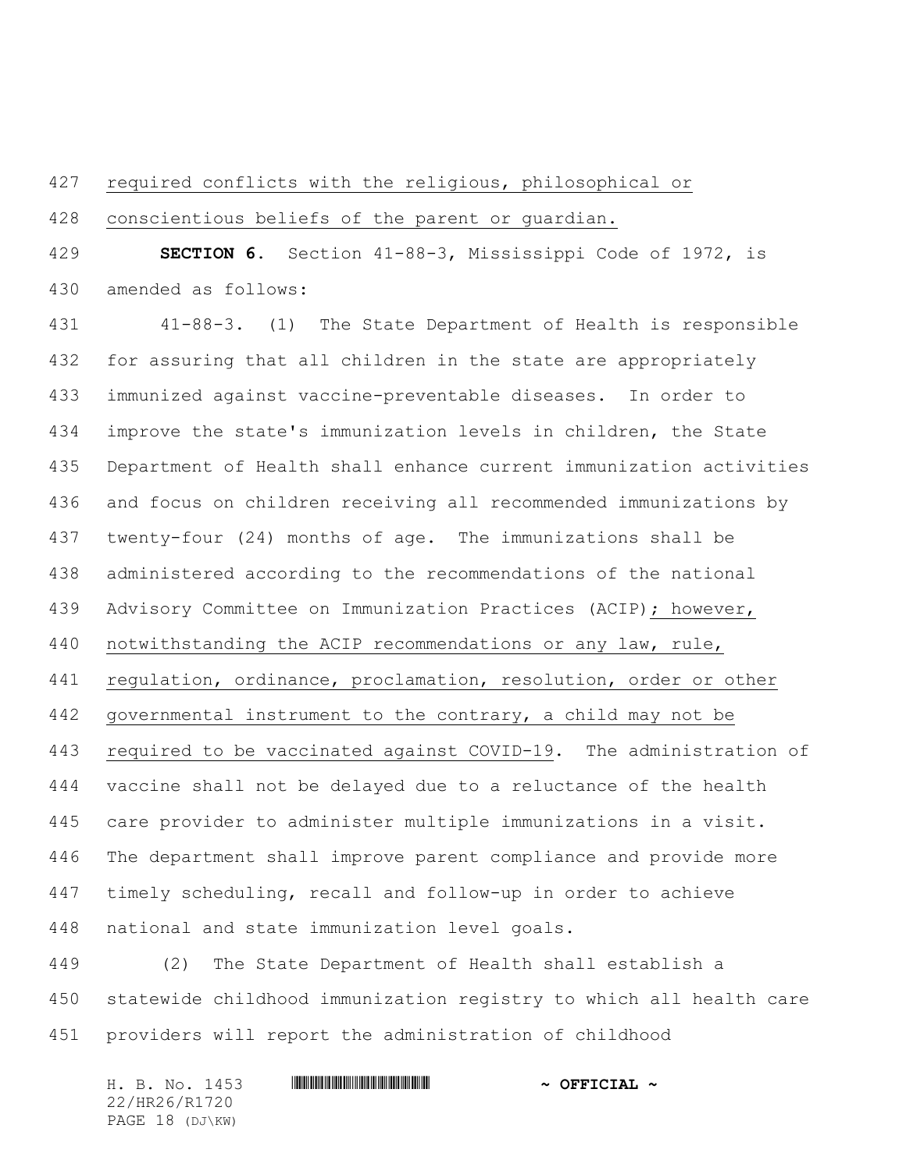## required conflicts with the religious, philosophical or

conscientious beliefs of the parent or guardian.

 **SECTION 6.** Section 41-88-3, Mississippi Code of 1972, is amended as follows:

 41-88-3. (1) The State Department of Health is responsible for assuring that all children in the state are appropriately immunized against vaccine-preventable diseases. In order to improve the state's immunization levels in children, the State Department of Health shall enhance current immunization activities and focus on children receiving all recommended immunizations by twenty-four (24) months of age. The immunizations shall be administered according to the recommendations of the national Advisory Committee on Immunization Practices (ACIP); however, notwithstanding the ACIP recommendations or any law, rule, regulation, ordinance, proclamation, resolution, order or other governmental instrument to the contrary, a child may not be required to be vaccinated against COVID-19. The administration of vaccine shall not be delayed due to a reluctance of the health care provider to administer multiple immunizations in a visit. The department shall improve parent compliance and provide more timely scheduling, recall and follow-up in order to achieve national and state immunization level goals.

 (2) The State Department of Health shall establish a statewide childhood immunization registry to which all health care providers will report the administration of childhood

| H. B. No. 1453  | $\sim$ OFFICIAL $\sim$ |
|-----------------|------------------------|
| 22/HR26/R1720   |                        |
| PAGE 18 (DJ\KW) |                        |